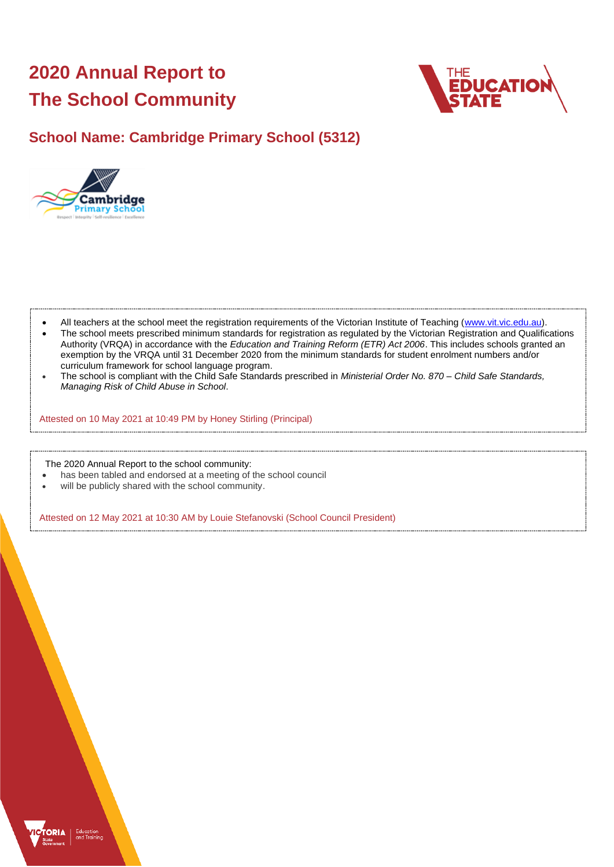# **2020 Annual Report to The School Community**



## **School Name: Cambridge Primary School (5312)**



- All teachers at the school meet the registration requirements of the Victorian Institute of Teaching [\(www.vit.vic.edu.au\)](https://www.vit.vic.edu.au/).
- The school meets prescribed minimum standards for registration as regulated by the Victorian Registration and Qualifications Authority (VRQA) in accordance with the *Education and Training Reform (ETR) Act 2006*. This includes schools granted an exemption by the VRQA until 31 December 2020 from the minimum standards for student enrolment numbers and/or curriculum framework for school language program.
- The school is compliant with the Child Safe Standards prescribed in *Ministerial Order No. 870 – Child Safe Standards, Managing Risk of Child Abuse in School*.

Attested on 10 May 2021 at 10:49 PM by Honey Stirling (Principal)

The 2020 Annual Report to the school community:

- has been tabled and endorsed at a meeting of the school council
- will be publicly shared with the school community.

Attested on 12 May 2021 at 10:30 AM by Louie Stefanovski (School Council President)

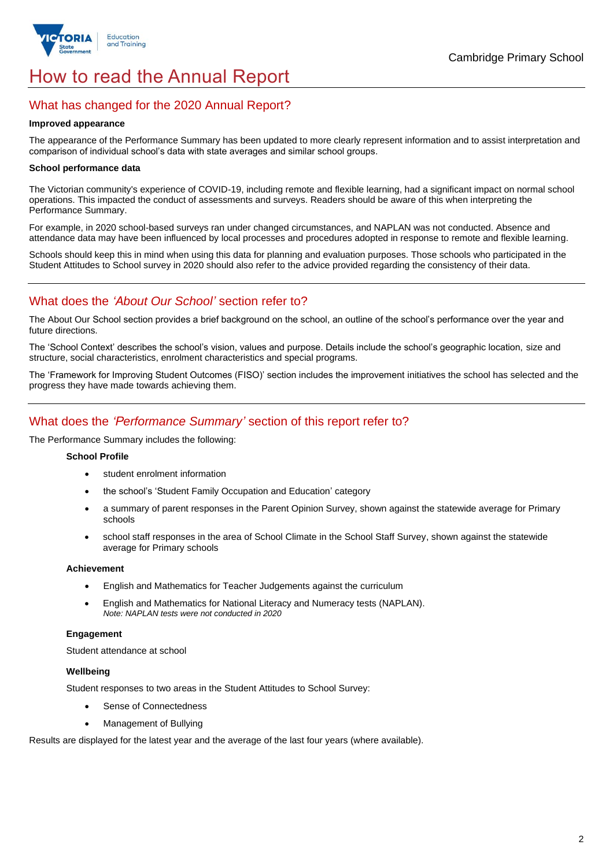

## How to read the Annual Report

## What has changed for the 2020 Annual Report?

#### **Improved appearance**

The appearance of the Performance Summary has been updated to more clearly represent information and to assist interpretation and comparison of individual school's data with state averages and similar school groups.

#### **School performance data**

The Victorian community's experience of COVID-19, including remote and flexible learning, had a significant impact on normal school operations. This impacted the conduct of assessments and surveys. Readers should be aware of this when interpreting the Performance Summary.

For example, in 2020 school-based surveys ran under changed circumstances, and NAPLAN was not conducted. Absence and attendance data may have been influenced by local processes and procedures adopted in response to remote and flexible learning.

Schools should keep this in mind when using this data for planning and evaluation purposes. Those schools who participated in the Student Attitudes to School survey in 2020 should also refer to the advice provided regarding the consistency of their data.

## What does the *'About Our School'* section refer to?

The About Our School section provides a brief background on the school, an outline of the school's performance over the year and future directions.

The 'School Context' describes the school's vision, values and purpose. Details include the school's geographic location, size and structure, social characteristics, enrolment characteristics and special programs.

The 'Framework for Improving Student Outcomes (FISO)' section includes the improvement initiatives the school has selected and the progress they have made towards achieving them.

## What does the *'Performance Summary'* section of this report refer to?

The Performance Summary includes the following:

#### **School Profile**

- student enrolment information
- the school's 'Student Family Occupation and Education' category
- a summary of parent responses in the Parent Opinion Survey, shown against the statewide average for Primary schools
- school staff responses in the area of School Climate in the School Staff Survey, shown against the statewide average for Primary schools

#### **Achievement**

- English and Mathematics for Teacher Judgements against the curriculum
- English and Mathematics for National Literacy and Numeracy tests (NAPLAN). *Note: NAPLAN tests were not conducted in 2020*

### **Engagement**

Student attendance at school

#### **Wellbeing**

Student responses to two areas in the Student Attitudes to School Survey:

- Sense of Connectedness
- Management of Bullying

Results are displayed for the latest year and the average of the last four years (where available).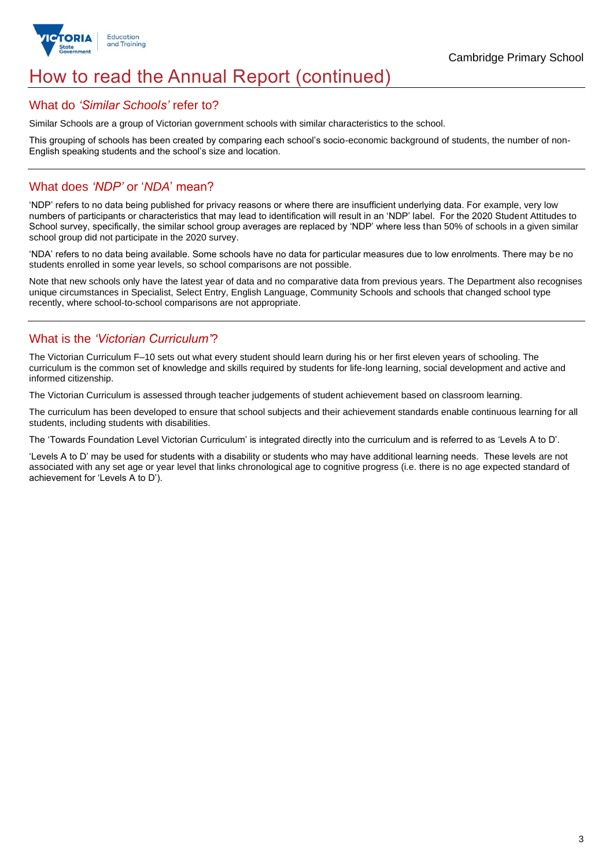

## How to read the Annual Report (continued)

### What do *'Similar Schools'* refer to?

Similar Schools are a group of Victorian government schools with similar characteristics to the school.

This grouping of schools has been created by comparing each school's socio-economic background of students, the number of non-English speaking students and the school's size and location.

## What does *'NDP'* or '*NDA*' mean?

'NDP' refers to no data being published for privacy reasons or where there are insufficient underlying data. For example, very low numbers of participants or characteristics that may lead to identification will result in an 'NDP' label. For the 2020 Student Attitudes to School survey, specifically, the similar school group averages are replaced by 'NDP' where less than 50% of schools in a given similar school group did not participate in the 2020 survey.

'NDA' refers to no data being available. Some schools have no data for particular measures due to low enrolments. There may be no students enrolled in some year levels, so school comparisons are not possible.

Note that new schools only have the latest year of data and no comparative data from previous years. The Department also recognises unique circumstances in Specialist, Select Entry, English Language, Community Schools and schools that changed school type recently, where school-to-school comparisons are not appropriate.

## What is the *'Victorian Curriculum'*?

The Victorian Curriculum F–10 sets out what every student should learn during his or her first eleven years of schooling. The curriculum is the common set of knowledge and skills required by students for life-long learning, social development and active and informed citizenship.

The Victorian Curriculum is assessed through teacher judgements of student achievement based on classroom learning.

The curriculum has been developed to ensure that school subjects and their achievement standards enable continuous learning for all students, including students with disabilities.

The 'Towards Foundation Level Victorian Curriculum' is integrated directly into the curriculum and is referred to as 'Levels A to D'.

'Levels A to D' may be used for students with a disability or students who may have additional learning needs. These levels are not associated with any set age or year level that links chronological age to cognitive progress (i.e. there is no age expected standard of achievement for 'Levels A to D').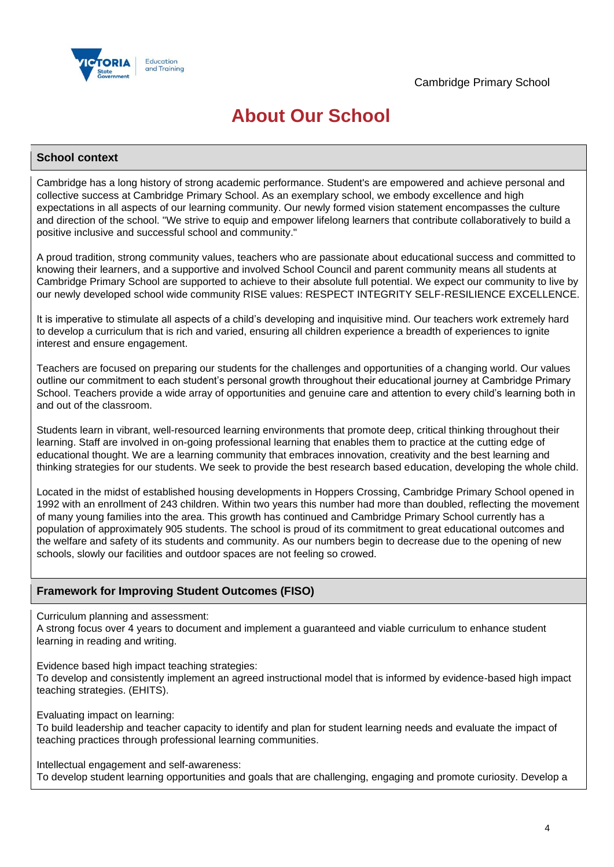

## **About Our School**

### **School context**

Cambridge has a long history of strong academic performance. Student's are empowered and achieve personal and collective success at Cambridge Primary School. As an exemplary school, we embody excellence and high expectations in all aspects of our learning community. Our newly formed vision statement encompasses the culture and direction of the school. "We strive to equip and empower lifelong learners that contribute collaboratively to build a positive inclusive and successful school and community."

A proud tradition, strong community values, teachers who are passionate about educational success and committed to knowing their learners, and a supportive and involved School Council and parent community means all students at Cambridge Primary School are supported to achieve to their absolute full potential. We expect our community to live by our newly developed school wide community RISE values: RESPECT INTEGRITY SELF-RESILIENCE EXCELLENCE.

It is imperative to stimulate all aspects of a child's developing and inquisitive mind. Our teachers work extremely hard to develop a curriculum that is rich and varied, ensuring all children experience a breadth of experiences to ignite interest and ensure engagement.

Teachers are focused on preparing our students for the challenges and opportunities of a changing world. Our values outline our commitment to each student's personal growth throughout their educational journey at Cambridge Primary School. Teachers provide a wide array of opportunities and genuine care and attention to every child's learning both in and out of the classroom.

Students learn in vibrant, well-resourced learning environments that promote deep, critical thinking throughout their learning. Staff are involved in on-going professional learning that enables them to practice at the cutting edge of educational thought. We are a learning community that embraces innovation, creativity and the best learning and thinking strategies for our students. We seek to provide the best research based education, developing the whole child.

Located in the midst of established housing developments in Hoppers Crossing, Cambridge Primary School opened in 1992 with an enrollment of 243 children. Within two years this number had more than doubled, reflecting the movement of many young families into the area. This growth has continued and Cambridge Primary School currently has a population of approximately 905 students. The school is proud of its commitment to great educational outcomes and the welfare and safety of its students and community. As our numbers begin to decrease due to the opening of new schools, slowly our facilities and outdoor spaces are not feeling so crowed.

## **Framework for Improving Student Outcomes (FISO)**

Curriculum planning and assessment:

A strong focus over 4 years to document and implement a guaranteed and viable curriculum to enhance student learning in reading and writing.

Evidence based high impact teaching strategies:

To develop and consistently implement an agreed instructional model that is informed by evidence-based high impact teaching strategies. (EHITS).

Evaluating impact on learning:

To build leadership and teacher capacity to identify and plan for student learning needs and evaluate the impact of teaching practices through professional learning communities.

Intellectual engagement and self-awareness:

To develop student learning opportunities and goals that are challenging, engaging and promote curiosity. Develop a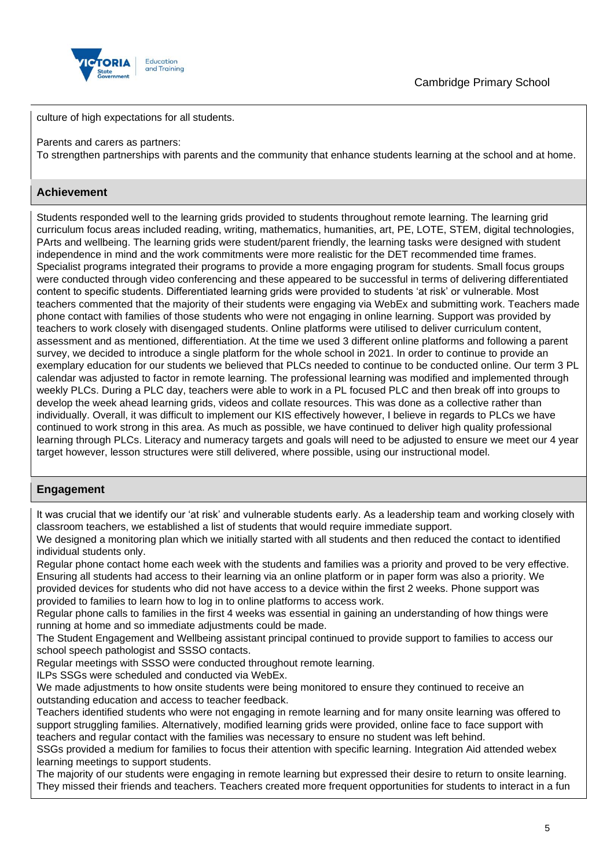

culture of high expectations for all students.

Parents and carers as partners:

To strengthen partnerships with parents and the community that enhance students learning at the school and at home.

## **Achievement**

Students responded well to the learning grids provided to students throughout remote learning. The learning grid curriculum focus areas included reading, writing, mathematics, humanities, art, PE, LOTE, STEM, digital technologies, PArts and wellbeing. The learning grids were student/parent friendly, the learning tasks were designed with student independence in mind and the work commitments were more realistic for the DET recommended time frames. Specialist programs integrated their programs to provide a more engaging program for students. Small focus groups were conducted through video conferencing and these appeared to be successful in terms of delivering differentiated content to specific students. Differentiated learning grids were provided to students 'at risk' or vulnerable. Most teachers commented that the majority of their students were engaging via WebEx and submitting work. Teachers made phone contact with families of those students who were not engaging in online learning. Support was provided by teachers to work closely with disengaged students. Online platforms were utilised to deliver curriculum content, assessment and as mentioned, differentiation. At the time we used 3 different online platforms and following a parent survey, we decided to introduce a single platform for the whole school in 2021. In order to continue to provide an exemplary education for our students we believed that PLCs needed to continue to be conducted online. Our term 3 PL calendar was adjusted to factor in remote learning. The professional learning was modified and implemented through weekly PLCs. During a PLC day, teachers were able to work in a PL focused PLC and then break off into groups to develop the week ahead learning grids, videos and collate resources. This was done as a collective rather than individually. Overall, it was difficult to implement our KIS effectively however, I believe in regards to PLCs we have continued to work strong in this area. As much as possible, we have continued to deliver high quality professional learning through PLCs. Literacy and numeracy targets and goals will need to be adjusted to ensure we meet our 4 year target however, lesson structures were still delivered, where possible, using our instructional model.

## **Engagement**

It was crucial that we identify our 'at risk' and vulnerable students early. As a leadership team and working closely with classroom teachers, we established a list of students that would require immediate support.

We designed a monitoring plan which we initially started with all students and then reduced the contact to identified individual students only.

Regular phone contact home each week with the students and families was a priority and proved to be very effective. Ensuring all students had access to their learning via an online platform or in paper form was also a priority. We provided devices for students who did not have access to a device within the first 2 weeks. Phone support was provided to families to learn how to log in to online platforms to access work.

Regular phone calls to families in the first 4 weeks was essential in gaining an understanding of how things were running at home and so immediate adjustments could be made.

The Student Engagement and Wellbeing assistant principal continued to provide support to families to access our school speech pathologist and SSSO contacts.

Regular meetings with SSSO were conducted throughout remote learning.

ILPs SSGs were scheduled and conducted via WebEx.

We made adjustments to how onsite students were being monitored to ensure they continued to receive an outstanding education and access to teacher feedback.

Teachers identified students who were not engaging in remote learning and for many onsite learning was offered to support struggling families. Alternatively, modified learning grids were provided, online face to face support with teachers and regular contact with the families was necessary to ensure no student was left behind.

SSGs provided a medium for families to focus their attention with specific learning. Integration Aid attended webex learning meetings to support students.

The majority of our students were engaging in remote learning but expressed their desire to return to onsite learning. They missed their friends and teachers. Teachers created more frequent opportunities for students to interact in a fun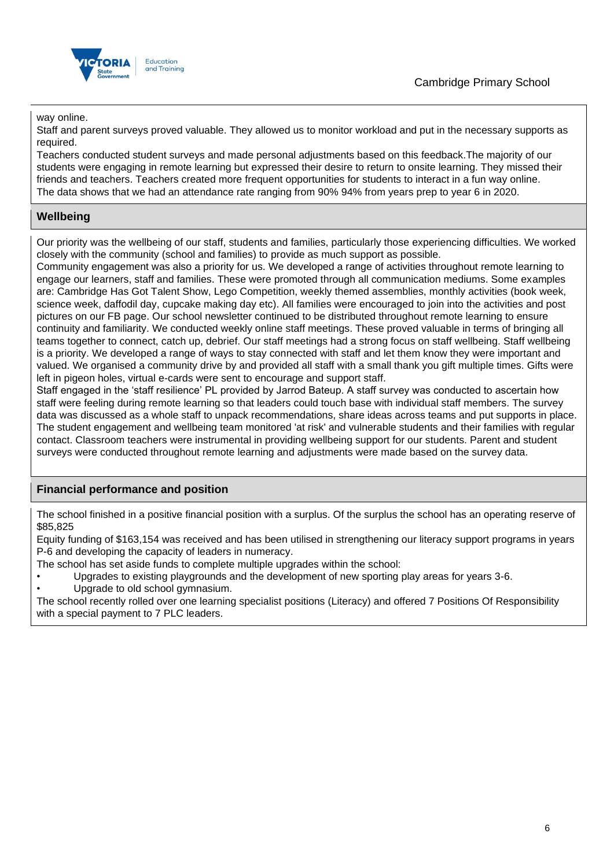

way online.

Staff and parent surveys proved valuable. They allowed us to monitor workload and put in the necessary supports as required.

Teachers conducted student surveys and made personal adjustments based on this feedback.The majority of our students were engaging in remote learning but expressed their desire to return to onsite learning. They missed their friends and teachers. Teachers created more frequent opportunities for students to interact in a fun way online. The data shows that we had an attendance rate ranging from 90% 94% from years prep to year 6 in 2020.

## **Wellbeing**

Our priority was the wellbeing of our staff, students and families, particularly those experiencing difficulties. We worked closely with the community (school and families) to provide as much support as possible.

Community engagement was also a priority for us. We developed a range of activities throughout remote learning to engage our learners, staff and families. These were promoted through all communication mediums. Some examples are: Cambridge Has Got Talent Show, Lego Competition, weekly themed assemblies, monthly activities (book week, science week, daffodil day, cupcake making day etc). All families were encouraged to join into the activities and post pictures on our FB page. Our school newsletter continued to be distributed throughout remote learning to ensure continuity and familiarity. We conducted weekly online staff meetings. These proved valuable in terms of bringing all teams together to connect, catch up, debrief. Our staff meetings had a strong focus on staff wellbeing. Staff wellbeing is a priority. We developed a range of ways to stay connected with staff and let them know they were important and valued. We organised a community drive by and provided all staff with a small thank you gift multiple times. Gifts were left in pigeon holes, virtual e-cards were sent to encourage and support staff.

Staff engaged in the 'staff resilience' PL provided by Jarrod Bateup. A staff survey was conducted to ascertain how staff were feeling during remote learning so that leaders could touch base with individual staff members. The survey data was discussed as a whole staff to unpack recommendations, share ideas across teams and put supports in place. The student engagement and wellbeing team monitored 'at risk' and vulnerable students and their families with regular contact. Classroom teachers were instrumental in providing wellbeing support for our students. Parent and student surveys were conducted throughout remote learning and adjustments were made based on the survey data.

## **Financial performance and position**

The school finished in a positive financial position with a surplus. Of the surplus the school has an operating reserve of \$85,825

Equity funding of \$163,154 was received and has been utilised in strengthening our literacy support programs in years P-6 and developing the capacity of leaders in numeracy.

The school has set aside funds to complete multiple upgrades within the school:

- Upgrades to existing playgrounds and the development of new sporting play areas for years 3-6.
- Upgrade to old school gymnasium.

The school recently rolled over one learning specialist positions (Literacy) and offered 7 Positions Of Responsibility with a special payment to 7 PLC leaders.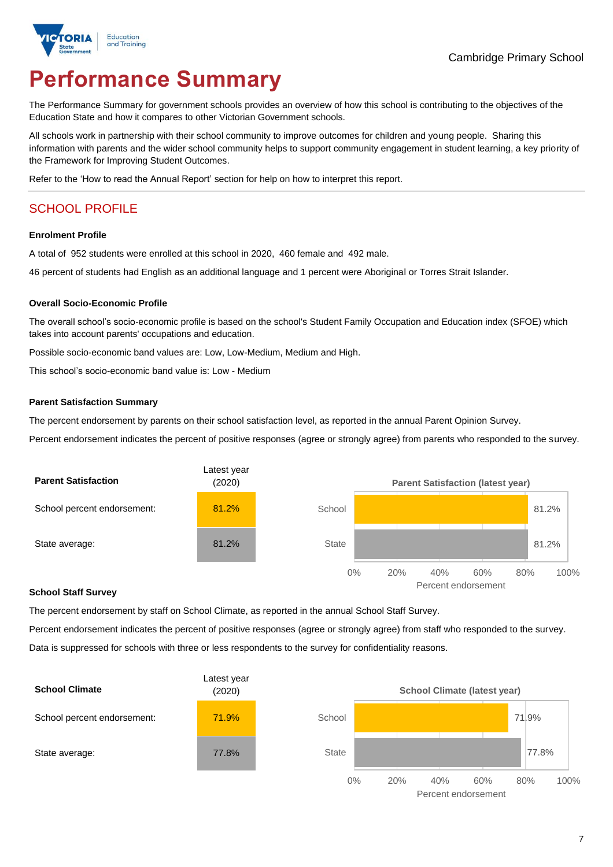

# **Performance Summary**

The Performance Summary for government schools provides an overview of how this school is contributing to the objectives of the Education State and how it compares to other Victorian Government schools.

All schools work in partnership with their school community to improve outcomes for children and young people. Sharing this information with parents and the wider school community helps to support community engagement in student learning, a key priority of the Framework for Improving Student Outcomes.

Refer to the 'How to read the Annual Report' section for help on how to interpret this report.

## SCHOOL PROFILE

#### **Enrolment Profile**

A total of 952 students were enrolled at this school in 2020, 460 female and 492 male.

46 percent of students had English as an additional language and 1 percent were Aboriginal or Torres Strait Islander.

#### **Overall Socio-Economic Profile**

The overall school's socio-economic profile is based on the school's Student Family Occupation and Education index (SFOE) which takes into account parents' occupations and education.

Possible socio-economic band values are: Low, Low-Medium, Medium and High.

This school's socio-economic band value is: Low - Medium

#### **Parent Satisfaction Summary**

The percent endorsement by parents on their school satisfaction level, as reported in the annual Parent Opinion Survey.

Percent endorsement indicates the percent of positive responses (agree or strongly agree) from parents who responded to the survey.



#### **School Staff Survey**

The percent endorsement by staff on School Climate, as reported in the annual School Staff Survey.

Percent endorsement indicates the percent of positive responses (agree or strongly agree) from staff who responded to the survey. Data is suppressed for schools with three or less respondents to the survey for confidentiality reasons.



Percent endorsement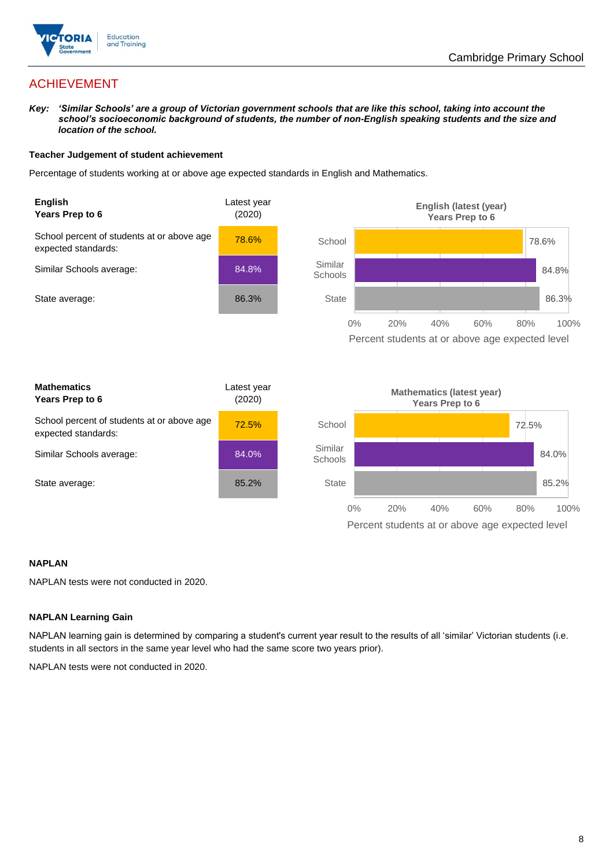

## ACHIEVEMENT

*Key: 'Similar Schools' are a group of Victorian government schools that are like this school, taking into account the school's socioeconomic background of students, the number of non-English speaking students and the size and location of the school.*

#### **Teacher Judgement of student achievement**

Percentage of students working at or above age expected standards in English and Mathematics.



#### **NAPLAN**

NAPLAN tests were not conducted in 2020.

#### **NAPLAN Learning Gain**

NAPLAN learning gain is determined by comparing a student's current year result to the results of all 'similar' Victorian students (i.e. students in all sectors in the same year level who had the same score two years prior).

NAPLAN tests were not conducted in 2020.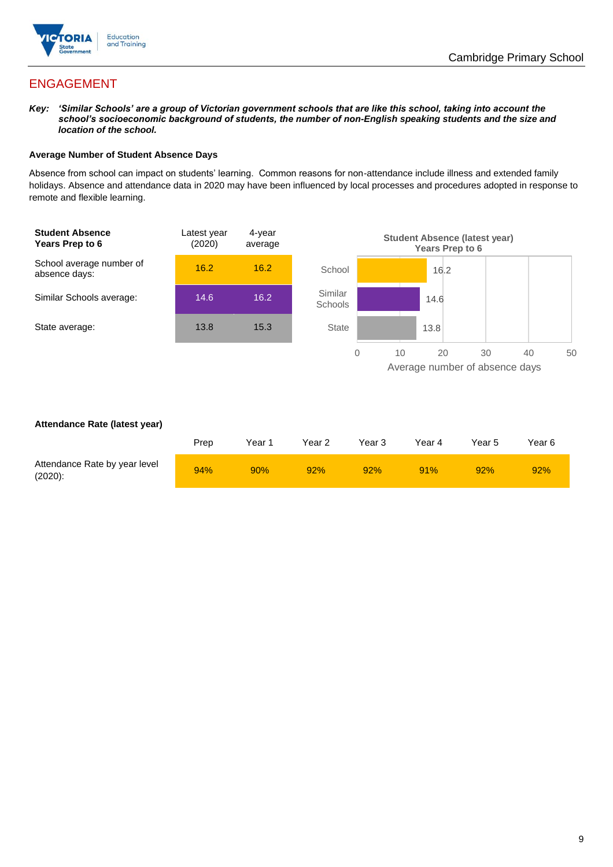

## ENGAGEMENT

*Key: 'Similar Schools' are a group of Victorian government schools that are like this school, taking into account the school's socioeconomic background of students, the number of non-English speaking students and the size and location of the school.*

#### **Average Number of Student Absence Days**

Absence from school can impact on students' learning. Common reasons for non-attendance include illness and extended family holidays. Absence and attendance data in 2020 may have been influenced by local processes and procedures adopted in response to remote and flexible learning.



#### **Attendance Rate (latest year)**

|                                             | Prep | Year 1 | Year 2 | Year 3 | Year 4 | Year 5 | Year 6 |
|---------------------------------------------|------|--------|--------|--------|--------|--------|--------|
| Attendance Rate by year level<br>$(2020)$ : | 94%  | 90%    | 92%    | 92%    | 91%    | 92%    | 92%    |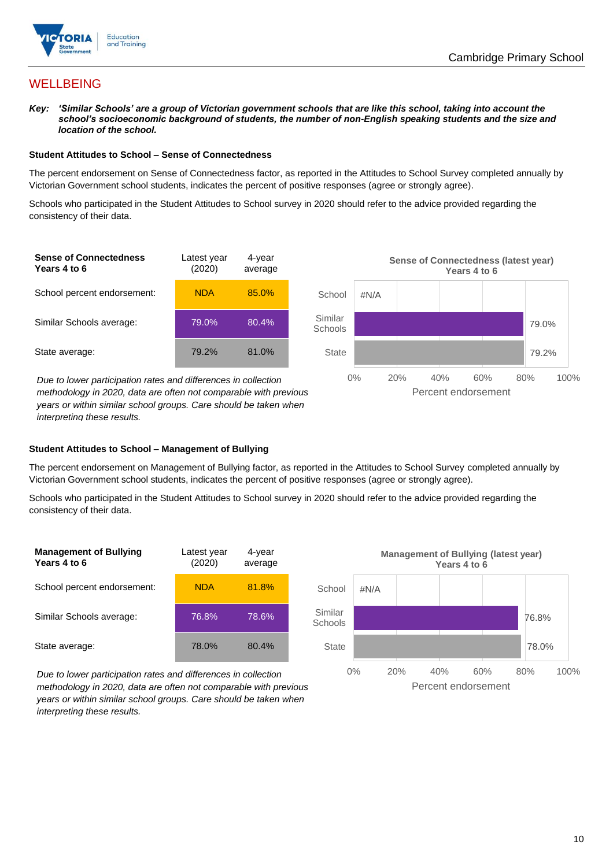

## **WELLBEING**

*Key: 'Similar Schools' are a group of Victorian government schools that are like this school, taking into account the*  school's socioeconomic background of students, the number of non-English speaking students and the size and *location of the school.*

#### **Student Attitudes to School – Sense of Connectedness**

The percent endorsement on Sense of Connectedness factor, as reported in the Attitudes to School Survey completed annually by Victorian Government school students, indicates the percent of positive responses (agree or strongly agree).

Schools who participated in the Student Attitudes to School survey in 2020 should refer to the advice provided regarding the consistency of their data.



*methodology in 2020, data are often not comparable with previous years or within similar school groups. Care should be taken when interpreting these results.*

#### **Student Attitudes to School – Management of Bullying**

The percent endorsement on Management of Bullying factor, as reported in the Attitudes to School Survey completed annually by Victorian Government school students, indicates the percent of positive responses (agree or strongly agree).

Schools who participated in the Student Attitudes to School survey in 2020 should refer to the advice provided regarding the consistency of their data.



*Due to lower participation rates and differences in collection methodology in 2020, data are often not comparable with previous years or within similar school groups. Care should be taken when interpreting these results.*

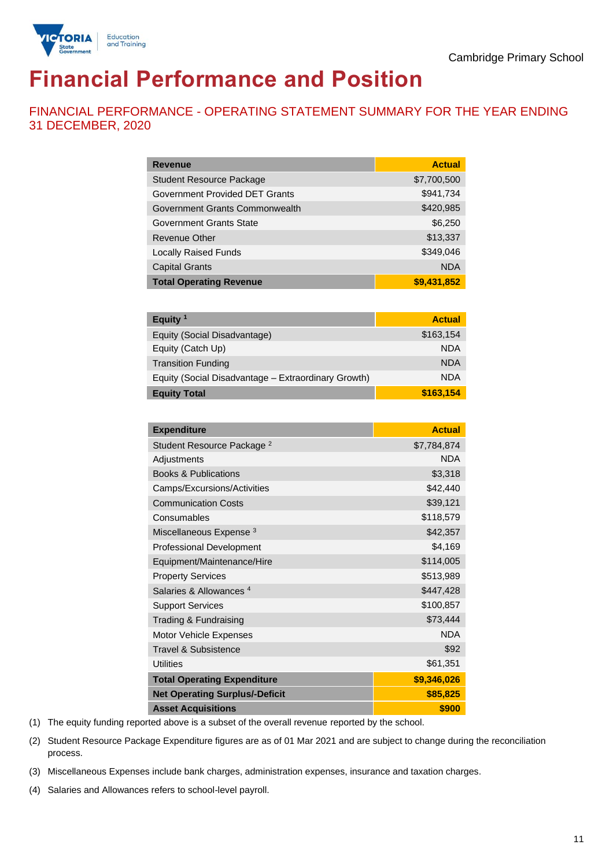

# **Financial Performance and Position**

FINANCIAL PERFORMANCE - OPERATING STATEMENT SUMMARY FOR THE YEAR ENDING 31 DECEMBER, 2020

| <b>Revenue</b>                  | <b>Actual</b> |
|---------------------------------|---------------|
| <b>Student Resource Package</b> | \$7,700,500   |
| Government Provided DET Grants  | \$941,734     |
| Government Grants Commonwealth  | \$420,985     |
| Government Grants State         | \$6,250       |
| <b>Revenue Other</b>            | \$13,337      |
| <b>Locally Raised Funds</b>     | \$349,046     |
| <b>Capital Grants</b>           | <b>NDA</b>    |
| <b>Total Operating Revenue</b>  | \$9,431,852   |

| Equity $1$                                          | <b>Actual</b> |
|-----------------------------------------------------|---------------|
| Equity (Social Disadvantage)                        | \$163,154     |
| Equity (Catch Up)                                   | <b>NDA</b>    |
| <b>Transition Funding</b>                           | <b>NDA</b>    |
| Equity (Social Disadvantage - Extraordinary Growth) | <b>NDA</b>    |
| <b>Equity Total</b>                                 | \$163,154     |

| <b>Expenditure</b>                    | <b>Actual</b> |
|---------------------------------------|---------------|
| Student Resource Package <sup>2</sup> | \$7,784,874   |
| Adjustments                           | <b>NDA</b>    |
| <b>Books &amp; Publications</b>       | \$3,318       |
| Camps/Excursions/Activities           | \$42,440      |
| <b>Communication Costs</b>            | \$39,121      |
| Consumables                           | \$118,579     |
| Miscellaneous Expense <sup>3</sup>    | \$42,357      |
| <b>Professional Development</b>       | \$4,169       |
| Equipment/Maintenance/Hire            | \$114,005     |
| <b>Property Services</b>              | \$513,989     |
| Salaries & Allowances <sup>4</sup>    | \$447,428     |
| <b>Support Services</b>               | \$100,857     |
| Trading & Fundraising                 | \$73,444      |
| Motor Vehicle Expenses                | <b>NDA</b>    |
| Travel & Subsistence                  | \$92          |
| <b>Utilities</b>                      | \$61,351      |
| <b>Total Operating Expenditure</b>    | \$9,346,026   |
| <b>Net Operating Surplus/-Deficit</b> | \$85,825      |
| <b>Asset Acquisitions</b>             | \$900         |

(1) The equity funding reported above is a subset of the overall revenue reported by the school.

(2) Student Resource Package Expenditure figures are as of 01 Mar 2021 and are subject to change during the reconciliation process.

(3) Miscellaneous Expenses include bank charges, administration expenses, insurance and taxation charges.

(4) Salaries and Allowances refers to school-level payroll.